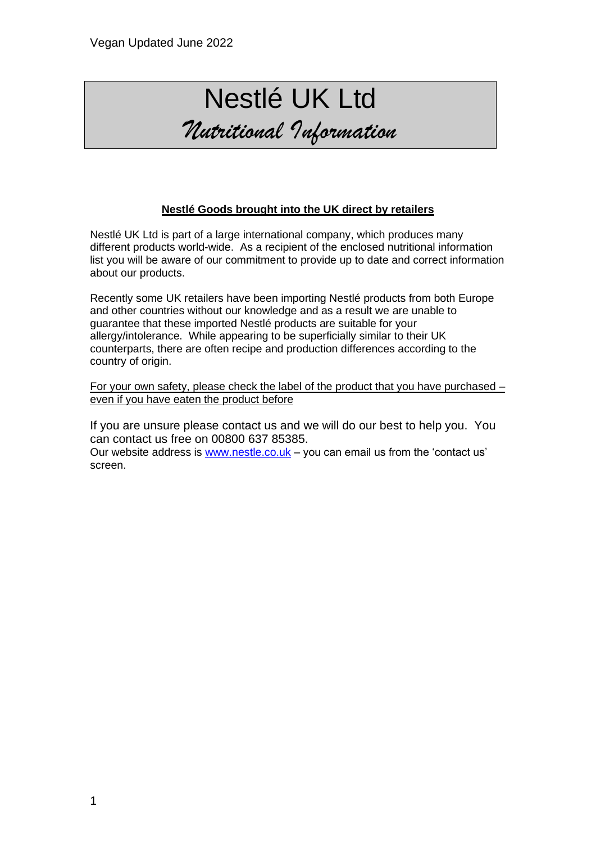## Nestlé UK Ltd *Nutritional Information*

## **Nestlé Goods brought into the UK direct by retailers**

Nestlé UK Ltd is part of a large international company, which produces many different products world-wide. As a recipient of the enclosed nutritional information list you will be aware of our commitment to provide up to date and correct information about our products.

Recently some UK retailers have been importing Nestlé products from both Europe and other countries without our knowledge and as a result we are unable to guarantee that these imported Nestlé products are suitable for your allergy/intolerance. While appearing to be superficially similar to their UK counterparts, there are often recipe and production differences according to the country of origin.

For your own safety, please check the label of the product that you have purchased – even if you have eaten the product before

If you are unsure please contact us and we will do our best to help you. You can contact us free on 00800 637 85385. Our website address is [www.nestle.co.uk](http://www.nestle.co.uk/) – you can email us from the 'contact us' screen.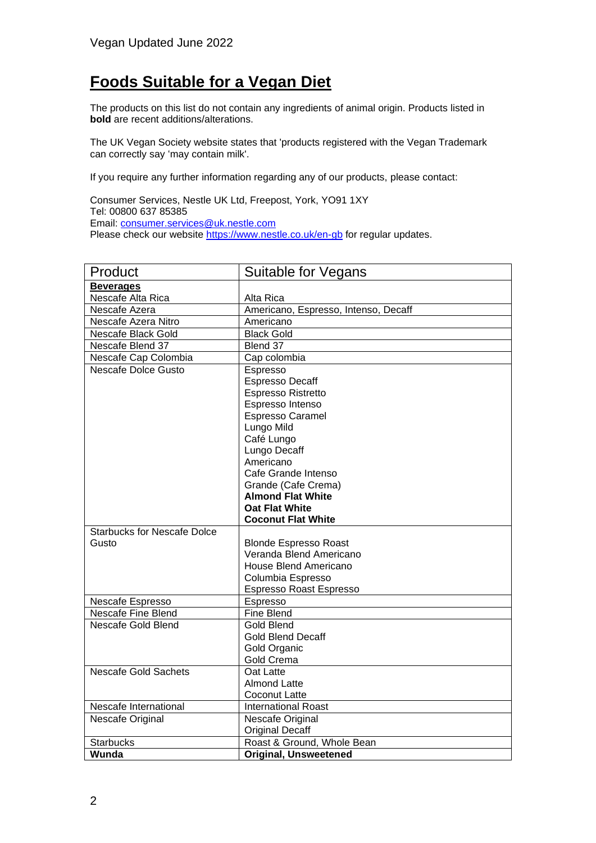## **Foods Suitable for a Vegan Diet**

The products on this list do not contain any ingredients of animal origin. Products listed in **bold** are recent additions/alterations.

The UK Vegan Society website states that 'products registered with the Vegan Trademark can correctly say 'may contain milk'.

If you require any further information regarding any of our products, please contact:

Consumer Services, Nestle UK Ltd, Freepost, York, YO91 1XY Tel: 00800 637 85385 Email: [consumer.services@uk.nestle.com](mailto:consumer.services@uk.nestle.com) Please check our website<https://www.nestle.co.uk/en-gb> for regular updates.

| Product                            | <b>Suitable for Vegans</b>           |
|------------------------------------|--------------------------------------|
| <b>Beverages</b>                   |                                      |
| Nescafe Alta Rica                  | Alta Rica                            |
| Nescafe Azera                      | Americano, Espresso, Intenso, Decaff |
| Nescafe Azera Nitro                | Americano                            |
| Nescafe Black Gold                 | <b>Black Gold</b>                    |
| Nescafe Blend 37                   | Blend 37                             |
| Nescafe Cap Colombia               | Cap colombia                         |
| Nescafe Dolce Gusto                | Espresso                             |
|                                    | <b>Espresso Decaff</b>               |
|                                    | Espresso Ristretto                   |
|                                    | Espresso Intenso                     |
|                                    | Espresso Caramel                     |
|                                    | Lungo Mild                           |
|                                    | Café Lungo                           |
|                                    | Lungo Decaff                         |
|                                    | Americano                            |
|                                    | Cafe Grande Intenso                  |
|                                    | Grande (Cafe Crema)                  |
|                                    | <b>Almond Flat White</b>             |
|                                    | <b>Oat Flat White</b>                |
|                                    | <b>Coconut Flat White</b>            |
| <b>Starbucks for Nescafe Dolce</b> |                                      |
| Gusto                              | <b>Blonde Espresso Roast</b>         |
|                                    | Veranda Blend Americano              |
|                                    | House Blend Americano                |
|                                    | Columbia Espresso                    |
|                                    | Espresso Roast Espresso              |
| Nescafe Espresso                   | Espresso                             |
| Nescafe Fine Blend                 | <b>Fine Blend</b>                    |
| Nescafe Gold Blend                 | <b>Gold Blend</b>                    |
|                                    | <b>Gold Blend Decaff</b>             |
|                                    | Gold Organic                         |
|                                    | Gold Crema                           |
| <b>Nescafe Gold Sachets</b>        | Oat Latte                            |
|                                    | <b>Almond Latte</b>                  |
|                                    | Coconut Latte                        |
| Nescafe International              | <b>International Roast</b>           |
| Nescafe Original                   | Nescafe Original                     |
|                                    | <b>Original Decaff</b>               |
| <b>Starbucks</b>                   | Roast & Ground, Whole Bean           |
| Wunda                              | <b>Original, Unsweetened</b>         |